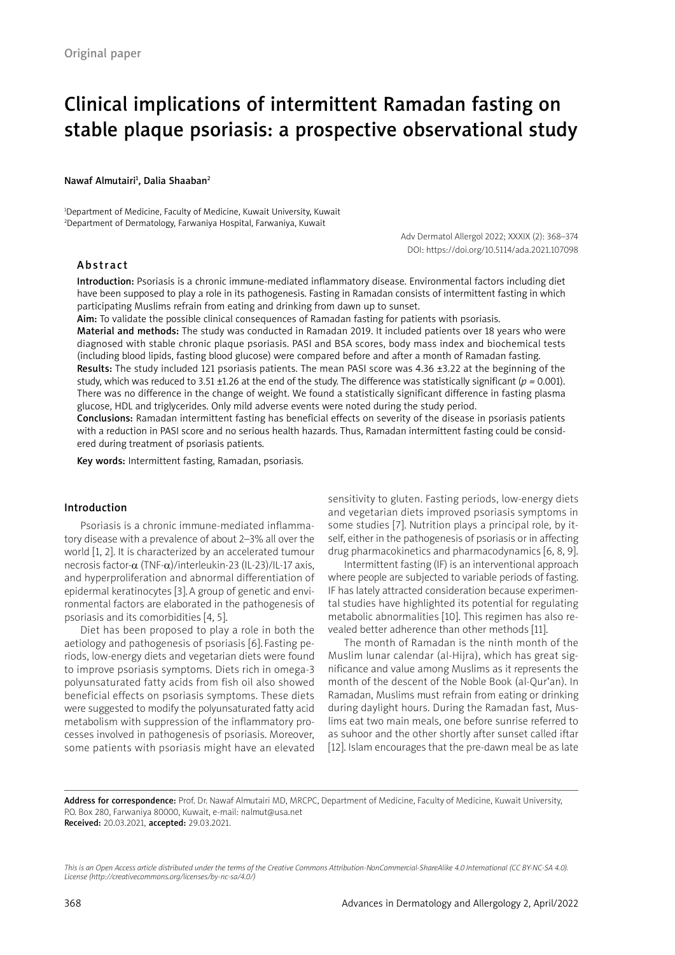# Clinical implications of intermittent Ramadan fasting on stable plaque psoriasis: a prospective observational study

#### Nawaf Almutairi<sup>1</sup>, Dalia Shaaban<sup>2</sup>

1 Department of Medicine, Faculty of Medicine, Kuwait University, Kuwait 2 Department of Dermatology, Farwaniya Hospital, Farwaniya, Kuwait

> Adv Dermatol Allergol 2022; XXXIX (2): 368–374 DOI: https://doi.org/10.5114/ada.2021.107098

## Abstract

Introduction: Psoriasis is a chronic immune-mediated inflammatory disease. Environmental factors including diet have been supposed to play a role in its pathogenesis. Fasting in Ramadan consists of intermittent fasting in which participating Muslims refrain from eating and drinking from dawn up to sunset.

Aim: To validate the possible clinical consequences of Ramadan fasting for patients with psoriasis.

Material and methods: The study was conducted in Ramadan 2019. It included patients over 18 years who were diagnosed with stable chronic plaque psoriasis. PASI and BSA scores, body mass index and biochemical tests (including blood lipids, fasting blood glucose) were compared before and after a month of Ramadan fasting. Results: The study included 121 psoriasis patients. The mean PASI score was 4.36 ±3.22 at the beginning of the study, which was reduced to 3.51 ±1.26 at the end of the study. The difference was statistically significant (*p =* 0.001). There was no difference in the change of weight. We found a statistically significant difference in fasting plasma glucose, HDL and triglycerides. Only mild adverse events were noted during the study period.

Conclusions: Ramadan intermittent fasting has beneficial effects on severity of the disease in psoriasis patients with a reduction in PASI score and no serious health hazards. Thus, Ramadan intermittent fasting could be considered during treatment of psoriasis patients.

Key words: Intermittent fasting, Ramadan, psoriasis.

#### Introduction

Psoriasis is a chronic immune-mediated inflammatory disease with a prevalence of about 2–3% all over the world [1, 2]. It is characterized by an accelerated tumour necrosis factor-α (TNF-α)/interleukin-23 (IL-23)/IL-17 axis, and hyperproliferation and abnormal differentiation of epidermal keratinocytes [3].A group of genetic and environmental factors are elaborated in the pathogenesis of psoriasis and its comorbidities [4, 5].

Diet has been proposed to play a role in both the aetiology and pathogenesis of psoriasis [6]. Fasting periods, low-energy diets and vegetarian diets were found to improve psoriasis symptoms. Diets rich in omega-3 polyunsaturated fatty acids from fish oil also showed beneficial effects on psoriasis symptoms. These diets were suggested to modify the polyunsaturated fatty acid metabolism with suppression of the inflammatory processes involved in pathogenesis of psoriasis. Moreover, some patients with psoriasis might have an elevated sensitivity to gluten. Fasting periods, low-energy diets and vegetarian diets improved psoriasis symptoms in some studies [7]. Nutrition plays a principal role*,* by itself, either in the pathogenesis of psoriasis or in affecting drug pharmacokinetics and pharmacodynamics [6, 8, 9].

Intermittent fasting (IF) is an interventional approach where people are subjected to variable periods of fasting. IF has lately attracted consideration because experimental studies have highlighted its potential for regulating metabolic abnormalities [10]. This regimen has also revealed better adherence than other methods [11].

The month of Ramadan is the ninth month of the Muslim lunar calendar (al-Hijra), which has great significance and value among Muslims as it represents the month of the descent of the Noble Book (al-Qur'an). In Ramadan, Muslims must refrain from eating or drinking during daylight hours. During the Ramadan fast, Muslims eat two main meals, one before sunrise referred to as suhoor and the other shortly after sunset called iftar [12]. Islam encourages that the pre-dawn meal be as late

Address for correspondence: Prof. Dr. Nawaf Almutairi MD, MRCPC, Department of Medicine, Faculty of Medicine, Kuwait University, P.O. Box 280, Farwaniya 80000, Kuwait, e-mail: nalmut@usa.net Received: 20.03.2021, accepted: 29.03.2021.

*This is an Open Access article distributed under the terms of the Creative Commons Attribution-NonCommercial-ShareAlike 4.0 International (CC BY-NC-SA 4.0). License (http://creativecommons.org/licenses/by-nc-sa/4.0/)*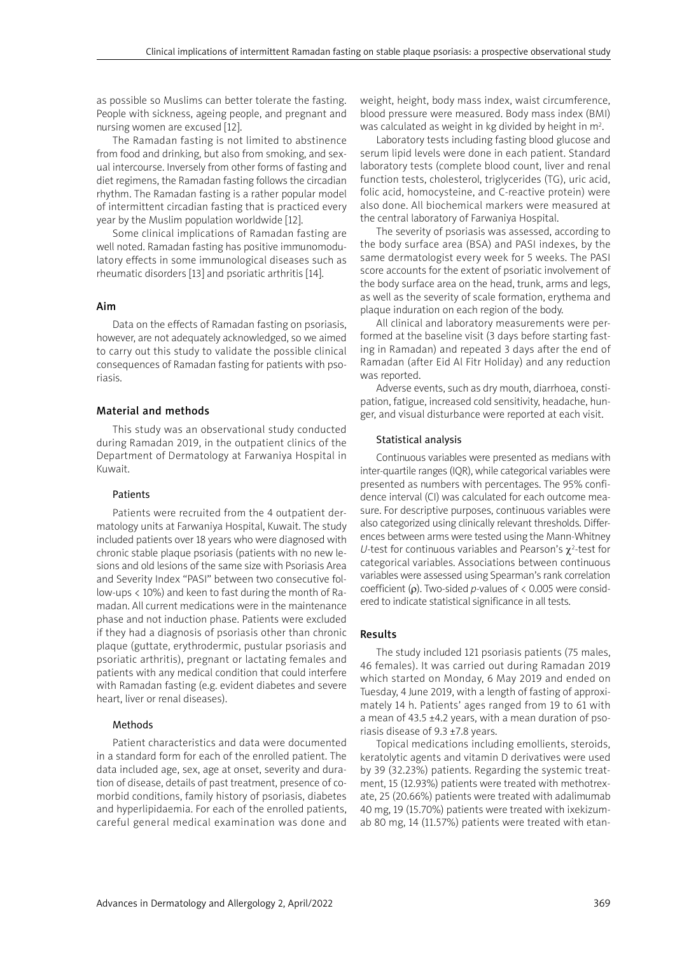as possible so Muslims can better tolerate the fasting. People with sickness, ageing people, and pregnant and nursing women are excused [12].

The Ramadan fasting is not limited to abstinence from food and drinking, but also from smoking, and sexual intercourse. Inversely from other forms of fasting and diet regimens, the Ramadan fasting follows the circadian rhythm. The Ramadan fasting is a rather popular model of intermittent circadian fasting that is practiced every year by the Muslim population worldwide [12].

Some clinical implications of Ramadan fasting are well noted. Ramadan fasting has positive immunomodulatory effects in some immunological diseases such as rheumatic disorders [13] and psoriatic arthritis [14].

# Aim

Data on the effects of Ramadan fasting on psoriasis, however, are not adequately acknowledged, so we aimed to carry out this study to validate the possible clinical consequences of Ramadan fasting for patients with psoriasis.

# Material and methods

This study was an observational study conducted during Ramadan 2019, in the outpatient clinics of the Department of Dermatology at Farwaniya Hospital in Kuwait.

# **Patients**

Patients were recruited from the 4 outpatient dermatology units at Farwaniya Hospital, Kuwait. The study included patients over 18 years who were diagnosed with chronic stable plaque psoriasis (patients with no new lesions and old lesions of the same size with Psoriasis Area and Severity Index "PASI" between two consecutive follow-ups < 10%) and keen to fast during the month of Ramadan. All current medications were in the maintenance phase and not induction phase. Patients were excluded if they had a diagnosis of psoriasis other than chronic plaque (guttate, erythrodermic, pustular psoriasis and psoriatic arthritis), pregnant or lactating females and patients with any medical condition that could interfere with Ramadan fasting (e.g. evident diabetes and severe heart, liver or renal diseases).

### Methods

Patient characteristics and data were documented in a standard form for each of the enrolled patient. The data included age, sex, age at onset, severity and duration of disease, details of past treatment, presence of comorbid conditions, family history of psoriasis, diabetes and hyperlipidaemia. For each of the enrolled patients, careful general medical examination was done and weight, height, body mass index, waist circumference, blood pressure were measured. Body mass index (BMI) was calculated as weight in kg divided by height in m<sup>2</sup>.

Laboratory tests including fasting blood glucose and serum lipid levels were done in each patient. Standard laboratory tests (complete blood count, liver and renal function tests, cholesterol, triglycerides (TG), uric acid, folic acid, homocysteine, and C-reactive protein) were also done. All biochemical markers were measured at the central laboratory of Farwaniya Hospital.

The severity of psoriasis was assessed, according to the body surface area (BSA) and PASI indexes, by the same dermatologist every week for 5 weeks. The PASI score accounts for the extent of psoriatic involvement of the body surface area on the head, trunk, arms and legs, as well as the severity of scale formation, erythema and plaque induration on each region of the body.

All clinical and laboratory measurements were performed at the baseline visit (3 days before starting fasting in Ramadan) and repeated 3 days after the end of Ramadan (after Eid Al Fitr Holiday) and any reduction was reported.

Adverse events, such as dry mouth, diarrhoea, constipation, fatigue, increased cold sensitivity, headache, hunger, and visual disturbance were reported at each visit.

### Statistical analysis

Continuous variables were presented as medians with inter-quartile ranges (IQR), while categorical variables were presented as numbers with percentages. The 95% confidence interval (CI) was calculated for each outcome measure. For descriptive purposes, continuous variables were also categorized using clinically relevant thresholds. Differences between arms were tested using the Mann-Whitney *U*-test for continuous variables and Pearson's  $\chi^2$ -test for categorical variables. Associations between continuous variables were assessed using Spearman's rank correlation coefficient (ρ). Two-sided *p*-values of < 0.005 were considered to indicate statistical significance in all tests.

# Results

The study included 121 psoriasis patients (75 males, 46 females). It was carried out during Ramadan 2019 which started on Monday, 6 May 2019 and ended on Tuesday, 4 June 2019, with a length of fasting of approximately 14 h. Patients' ages ranged from 19 to 61 with a mean of 43.5  $\pm$ 4.2 years, with a mean duration of psoriasis disease of 9.3 ±7.8 years.

Topical medications including emollients, steroids, keratolytic agents and vitamin D derivatives were used by 39 (32.23%) patients. Regarding the systemic treatment, 15 (12.93%) patients were treated with methotrexate, 25 (20.66%) patients were treated with adalimumab 40 mg, 19 (15.70%) patients were treated with ixekizumab 80 mg, 14 (11.57%) patients were treated with etan-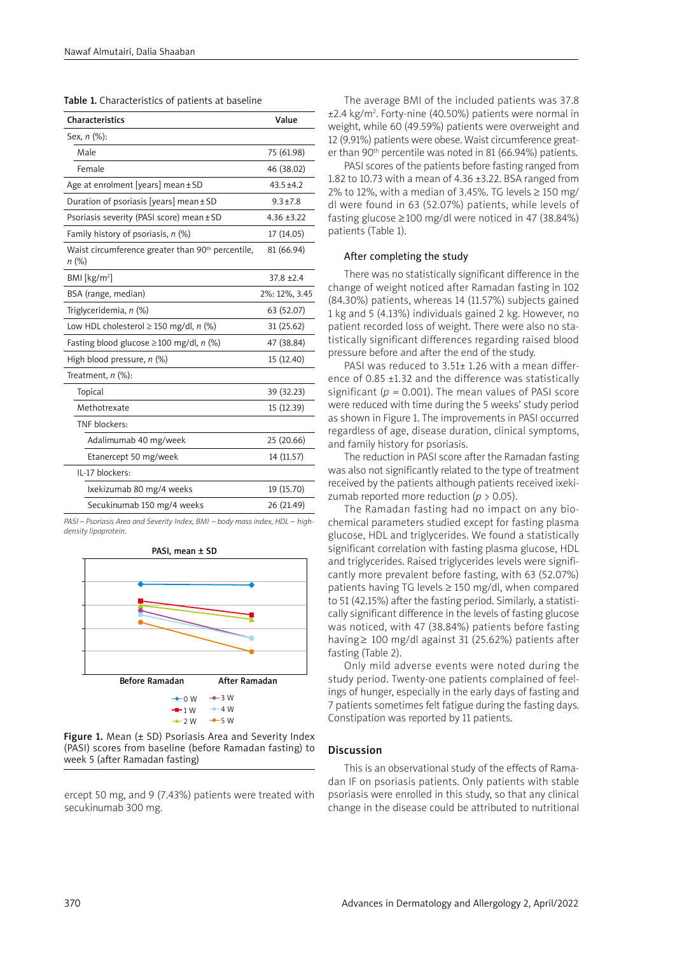| <b>Characteristics</b>                                                 | Value          |
|------------------------------------------------------------------------|----------------|
| Sex, n (%):                                                            |                |
| Male                                                                   | 75 (61.98)     |
| Female                                                                 | 46 (38.02)     |
| Age at enrolment [years] mean ± SD                                     | $43.5 \pm 4.2$ |
| Duration of psoriasis [years] mean ± SD                                | $9.3 \pm 7.8$  |
| Psoriasis severity (PASI score) mean ± SD                              | $4.36 + 3.22$  |
| Family history of psoriasis, $n$ (%)                                   | 17 (14.05)     |
| Waist circumference greater than 90 <sup>th</sup> percentile,<br>n (%) | 81 (66.94)     |
| BMI [ $kg/m2$ ]                                                        | $37.8 + 2.4$   |
| BSA (range, median)                                                    | 2%: 12%, 3.45  |
| Triglyceridemia, n (%)                                                 | 63 (52.07)     |
| Low HDL cholesterol $\geq$ 150 mg/dl, n (%)                            | 31 (25.62)     |
| Fasting blood glucose $\geq$ 100 mg/dl, n (%)                          | 47 (38.84)     |
| High blood pressure, $n$ (%)                                           | 15 (12.40)     |
| Treatment, $n$ (%):                                                    |                |
| Topical                                                                | 39 (32.23)     |
| Methotrexate                                                           | 15 (12.39)     |
| TNF blockers:                                                          |                |
| Adalimumab 40 mg/week                                                  | 25 (20.66)     |
| Etanercept 50 mg/week                                                  | 14 (11.57)     |
| IL-17 blockers:                                                        |                |
| Ixekizumab 80 mg/4 weeks                                               | 19 (15.70)     |
| Secukinumab 150 mg/4 weeks                                             | 26 (21.49)     |

*PASI – Psoriasis Area and Severity Index, BMI – body mass index, HDL – highdensity lipoprotein.* 





ercept 50 mg, and 9 (7.43%) patients were treated with secukinumab 300 mg.

The average BMI of the included patients was 37.8 ±2.4 kg/m2 . Forty-nine (40.50%) patients were normal in weight, while 60 (49.59%) patients were overweight and 12 (9.91%) patients were obese. Waist circumference greater than 90<sup>th</sup> percentile was noted in 81 (66.94%) patients.

PASI scores of the patients before fasting ranged from 1.82 to 10.73 with a mean of 4.36  $\pm$ 3.22. BSA ranged from 2% to 12%, with a median of 3.45%. TG levels  $\geq$  150 mg/ dl were found in 63 (52.07%) patients, while levels of fasting glucose ≥100 mg/dl were noticed in 47 (38.84%) patients (Table 1).

#### After completing the study

There was no statistically significant difference in the change of weight noticed after Ramadan fasting in 102 (84.30%) patients, whereas 14 (11.57%) subjects gained 1 kg and 5 (4.13%) individuals gained 2 kg. However, no patient recorded loss of weight. There were also no statistically significant differences regarding raised blood pressure before and after the end of the study.

PASI was reduced to 3.51± 1.26 with a mean difference of 0.85 ±1.32 and the difference was statistically significant ( $p = 0.001$ ). The mean values of PASI score were reduced with time during the 5 weeks' study period as shown in Figure 1. The improvements in PASI occurred regardless of age, disease duration, clinical symptoms, and family history for psoriasis.

The reduction in PASI score after the Ramadan fasting was also not significantly related to the type of treatment received by the patients although patients received ixekizumab reported more reduction ( $p > 0.05$ ).

The Ramadan fasting had no impact on any biochemical parameters studied except for fasting plasma glucose, HDL and triglycerides. We found a statistically significant correlation with fasting plasma glucose, HDL and triglycerides. Raised triglycerides levels were significantly more prevalent before fasting, with 63 (52.07%) patients having TG levels ≥ 150 mg/dl, when compared to 51 (42.15%) after the fasting period. Similarly, a statistically significant difference in the levels of fasting glucose was noticed, with 47 (38.84%) patients before fasting having ≥ 100 mg/dl against 31 (25.62%) patients after fasting (Table 2).

Only mild adverse events were noted during the study period. Twenty-one patients complained of feelings of hunger, especially in the early days of fasting and 7 patients sometimes felt fatigue during the fasting days. Constipation was reported by 11 patients.

### Discussion

This is an observational study of the effects of Ramadan IF on psoriasis patients. Only patients with stable psoriasis were enrolled in this study, so that any clinical change in the disease could be attributed to nutritional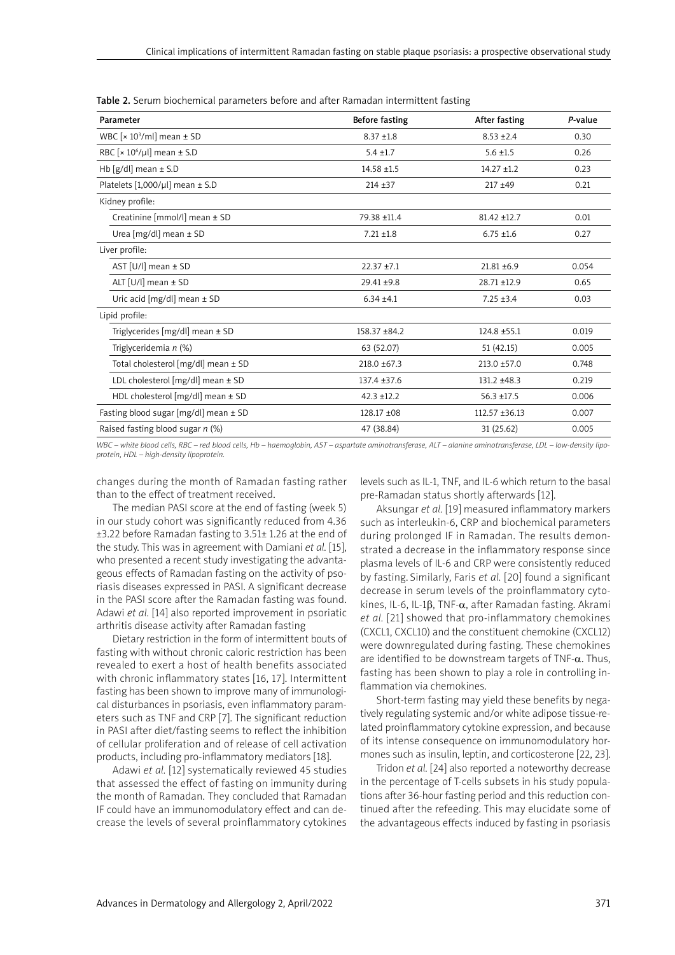| Parameter                                          | Before fasting   | After fasting      | P-value |
|----------------------------------------------------|------------------|--------------------|---------|
| WBC [ $\times$ 10 <sup>3</sup> /ml] mean $\pm$ SD  | $8.37 + 1.8$     | $8.53 \pm 2.4$     | 0.30    |
| RBC [ $\times$ 10 <sup>6</sup> /µl] mean $\pm$ S.D | $5.4 \pm 1.7$    | $5.6 \pm 1.5$      | 0.26    |
| Hb [g/dl] mean $\pm$ S.D                           | $14.58 + 1.5$    | $14.27 \pm 1.2$    | 0.23    |
| Platelets $[1,000/\mu]$ mean $\pm$ S.D             | $214 + 37$       | $217 + 49$         | 0.21    |
| Kidney profile:                                    |                  |                    |         |
| Creatinine [mmol/l] mean ± SD                      | 79.38 ±11.4      | $81.42 \pm 12.7$   | 0.01    |
| Urea [mg/dl] mean ± SD                             | $7.21 \pm 1.8$   | $6.75 \pm 1.6$     | 0.27    |
| Liver profile:                                     |                  |                    |         |
| AST [U/l] mean $\pm$ SD                            | $22.37 + 7.1$    | $21.81 \pm 6.9$    | 0.054   |
| ALT [U/l] mean $\pm$ SD                            | 29.41 ±9.8       | 28.71 ±12.9        | 0.65    |
| Uric acid [mg/dl] mean ± SD                        | $6.34 \pm 4.1$   | $7.25 \pm 3.4$     | 0.03    |
| Lipid profile:                                     |                  |                    |         |
| Triglycerides [mg/dl] mean $\pm$ SD                | 158.37 ±84.2     | 124.8 ±55.1        | 0.019   |
| Triglyceridemia n (%)                              | 63 (52.07)       | 51 (42.15)         | 0.005   |
| Total cholesterol [mg/dl] mean ± SD                | $218.0 \pm 67.3$ | 213.0 ±57.0        | 0.748   |
| LDL cholesterol $[mg/dl]$ mean $\pm$ SD            | $137.4 + 37.6$   | 131.2 ±48.3        | 0.219   |
| HDL cholesterol [mg/dl] mean ± SD                  | $42.3 + 12.2$    | $56.3 \pm 17.5$    | 0.006   |
| Fasting blood sugar [mg/dl] mean ± SD              | 128.17 ±08       | $112.57 \pm 36.13$ | 0.007   |
| Raised fasting blood sugar $n$ (%)                 | 47 (38.84)       | 31(25.62)          | 0.005   |

Table 2. Serum biochemical parameters before and after Ramadan intermittent fasting

*WBC – white blood cells, RBC – red blood cells, Hb – haemoglobin, AST – aspartate aminotransferase, ALT – alanine aminotransferase, LDL – low-density lipoprotein, HDL – high-density lipoprotein.* 

changes during the month of Ramadan fasting rather than to the effect of treatment received.

levels such as IL-1, TNF, and IL-6 which return to the basal pre-Ramadan status shortly afterwards [12].

The median PASI score at the end of fasting (week 5) in our study cohort was significantly reduced from 4.36 ±3.22 before Ramadan fasting to 3.51± 1.26 at the end of the study. This was in agreement with Damiani *et al.* [15], who presented a recent study investigating the advantageous effects of Ramadan fasting on the activity of psoriasis diseases expressed in PASI. A significant decrease in the PASI score after the Ramadan fasting was found. Adawi *et al.* [14] also reported improvement in psoriatic arthritis disease activity after Ramadan fasting

Dietary restriction in the form of intermittent bouts of fasting with without chronic caloric restriction has been revealed to exert a host of health benefits associated with chronic inflammatory states [16, 17]. Intermittent fasting has been shown to improve many of immunological disturbances in psoriasis, even inflammatory parameters such as TNF and CRP [7]. The significant reduction in PASI after diet/fasting seems to reflect the inhibition of cellular proliferation and of release of cell activation products, including pro-inflammatory mediators [18].

Adawi *et al.* [12] systematically reviewed 45 studies that assessed the effect of fasting on immunity during the month of Ramadan. They concluded that Ramadan IF could have an immunomodulatory effect and can decrease the levels of several proinflammatory cytokines

Aksungar *et al.* [19] measured inflammatory markers such as interleukin-6, CRP and biochemical parameters during prolonged IF in Ramadan. The results demonstrated a decrease in the inflammatory response since plasma levels of IL-6 and CRP were consistently reduced by fasting. Similarly, Faris *et al.* [20] found a significant decrease in serum levels of the proinflammatory cytokines, IL-6, IL-1β, TNF-α, after Ramadan fasting. Akrami *et al.* [21] showed that pro-inflammatory chemokines (CXCL1, CXCL10) and the constituent chemokine (CXCL12) were downregulated during fasting. These chemokines are identified to be downstream targets of TNF- $\alpha$ . Thus, fasting has been shown to play a role in controlling inflammation via chemokines.

Short-term fasting may yield these benefits by negatively regulating systemic and/or white adipose tissue-related proinflammatory cytokine expression, and because of its intense consequence on immunomodulatory hormones such as insulin, leptin, and corticosterone [22, 23].

Tridon *et al.* [24] also reported a noteworthy decrease in the percentage of T-cells subsets in his study populations after 36-hour fasting period and this reduction continued after the refeeding. This may elucidate some of the advantageous effects induced by fasting in psoriasis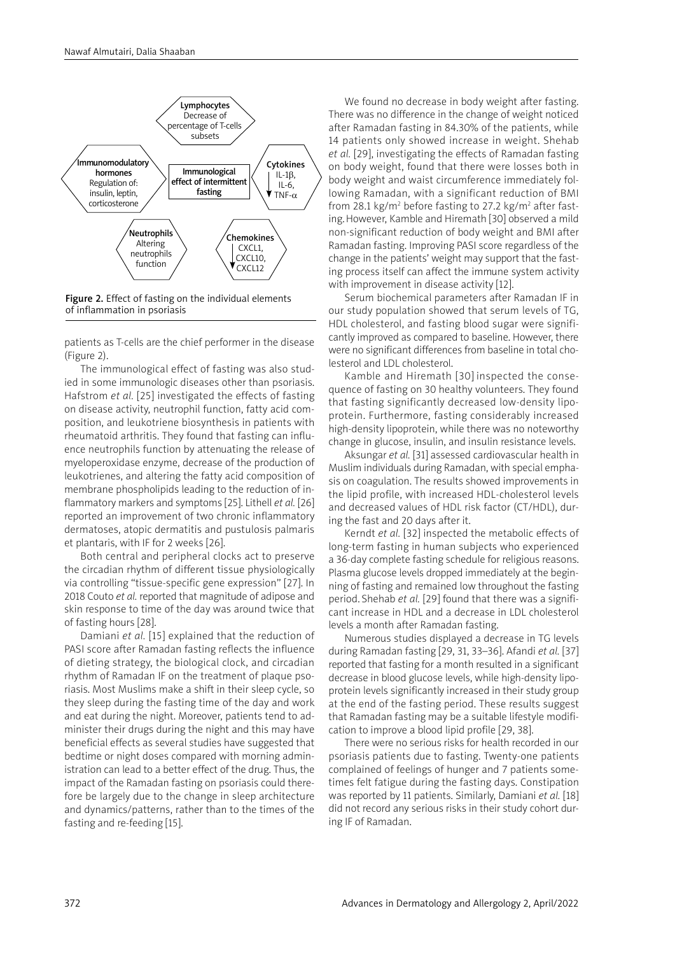

Figure 2. Effect of fasting on the individual elements of inflammation in psoriasis

patients as T-cells are the chief performer in the disease (Figure 2).

The immunological effect of fasting was also studied in some immunologic diseases other than psoriasis. Hafstrom *et al.* [25] investigated the effects of fasting on disease activity, neutrophil function, fatty acid composition, and leukotriene biosynthesis in patients with rheumatoid arthritis. They found that fasting can influence neutrophils function by attenuating the release of myeloperoxidase enzyme, decrease of the production of leukotrienes, and altering the fatty acid composition of membrane phospholipids leading to the reduction of inflammatory markers and symptoms [25]. Lithell *et al.* [26] reported an improvement of two chronic inflammatory dermatoses, atopic dermatitis and pustulosis palmaris et plantaris, with IF for 2 weeks [26].

Both central and peripheral clocks act to preserve the circadian rhythm of different tissue physiologically via controlling "tissue-specific gene expression" [27]. In 2018 Couto *et al.* reported that magnitude of adipose and skin response to time of the day was around twice that of fasting hours [28].

Damiani *et al.* [15] explained that the reduction of PASI score after Ramadan fasting reflects the influence of dieting strategy, the biological clock, and circadian rhythm of Ramadan IF on the treatment of plaque psoriasis. Most Muslims make a shift in their sleep cycle, so they sleep during the fasting time of the day and work and eat during the night. Moreover, patients tend to administer their drugs during the night and this may have beneficial effects as several studies have suggested that bedtime or night doses compared with morning administration can lead to a better effect of the drug. Thus, the impact of the Ramadan fasting on psoriasis could therefore be largely due to the change in sleep architecture and dynamics/patterns, rather than to the times of the fasting and re-feeding [15].

We found no decrease in body weight after fasting. There was no difference in the change of weight noticed after Ramadan fasting in 84.30% of the patients, while 14 patients only showed increase in weight. Shehab *et al.* [29], investigating the effects of Ramadan fasting on body weight, found that there were losses both in body weight and waist circumference immediately following Ramadan, with a significant reduction of BMI from 28.1 kg/m<sup>2</sup> before fasting to 27.2 kg/m<sup>2</sup> after fasting.However, Kamble and Hiremath [30] observed a mild non-significant reduction of body weight and BMI after Ramadan fasting. Improving PASI score regardless of the change in the patients' weight may support that the fasting process itself can affect the immune system activity with improvement in disease activity [12].

Serum biochemical parameters after Ramadan IF in our study population showed that serum levels of TG, HDL cholesterol, and fasting blood sugar were significantly improved as compared to baseline. However, there were no significant differences from baseline in total cholesterol and LDL cholesterol.

Kamble and Hiremath [30] inspected the consequence of fasting on 30 healthy volunteers. They found that fasting significantly decreased low-density lipoprotein. Furthermore, fasting considerably increased high-density lipoprotein, while there was no noteworthy change in glucose, insulin, and insulin resistance levels.

Aksungar *et al.* [31] assessed cardiovascular health in Muslim individuals during Ramadan, with special emphasis on coagulation. The results showed improvements in the lipid profile, with increased HDL-cholesterol levels and decreased values of HDL risk factor (CT/HDL), during the fast and 20 days after it.

Kerndt *et al.* [32] inspected the metabolic effects of long-term fasting in human subjects who experienced a 36-day complete fasting schedule for religious reasons. Plasma glucose levels dropped immediately at the beginning of fasting and remained low throughout the fasting period. Shehab *et al.* [29] found that there was a significant increase in HDL and a decrease in LDL cholesterol levels a month after Ramadan fasting.

Numerous studies displayed a decrease in TG levels during Ramadan fasting [29, 31, 33–36]. Afandi *et al.* [37] reported that fasting for a month resulted in a significant decrease in blood glucose levels, while high-density lipoprotein levels significantly increased in their study group at the end of the fasting period. These results suggest that Ramadan fasting may be a suitable lifestyle modification to improve a blood lipid profile [29, 38].

There were no serious risks for health recorded in our psoriasis patients due to fasting. Twenty-one patients complained of feelings of hunger and 7 patients sometimes felt fatigue during the fasting days. Constipation was reported by 11 patients. Similarly, Damiani *et al.* [18] did not record any serious risks in their study cohort during IF of Ramadan.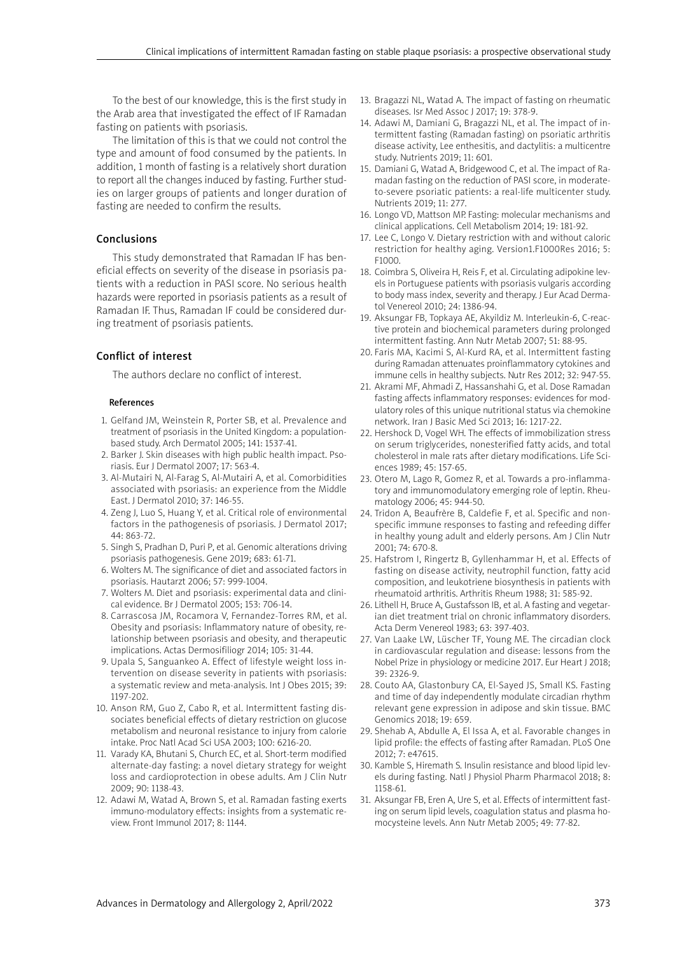To the best of our knowledge, this is the first study in the Arab area that investigated the effect of IF Ramadan fasting on patients with psoriasis.

The limitation of this is that we could not control the type and amount of food consumed by the patients. In addition, 1 month of fasting is a relatively short duration to report all the changes induced by fasting. Further studies on larger groups of patients and longer duration of fasting are needed to confirm the results.

## Conclusions

This study demonstrated that Ramadan IF has beneficial effects on severity of the disease in psoriasis patients with a reduction in PASI score. No serious health hazards were reported in psoriasis patients as a result of Ramadan IF. Thus, Ramadan IF could be considered during treatment of psoriasis patients.

# Conflict of interest

The authors declare no conflict of interest.

### References

- 1. Gelfand JM, Weinstein R, Porter SB, et al. Prevalence and treatment of psoriasis in the United Kingdom: a populationbased study. Arch Dermatol 2005; 141: 1537-41.
- 2. Barker J. Skin diseases with high public health impact. Psoriasis. Eur J Dermatol 2007; 17: 563-4.
- 3. Al-Mutairi N, Al-Farag S, Al-Mutairi A, et al. Comorbidities associated with psoriasis: an experience from the Middle East. J Dermatol 2010; 37: 146-55.
- 4. Zeng J, Luo S, Huang Y, et al. Critical role of environmental factors in the pathogenesis of psoriasis. J Dermatol 2017; 44: 863-72.
- 5. Singh S, Pradhan D, Puri P, et al. Genomic alterations driving psoriasis pathogenesis. Gene 2019; 683: 61-71.
- 6. Wolters M. The significance of diet and associated factors in psoriasis. Hautarzt 2006; 57: 999-1004.
- 7. Wolters M. Diet and psoriasis: experimental data and clinical evidence. Br J Dermatol 2005; 153: 706-14.
- 8. Carrascosa JM, Rocamora V, Fernandez-Torres RM, et al. Obesity and psoriasis: Inflammatory nature of obesity, relationship between psoriasis and obesity, and therapeutic implications. Actas Dermosifiliogr 2014; 105: 31-44.
- 9. Upala S, Sanguankeo A. Effect of lifestyle weight loss intervention on disease severity in patients with psoriasis: a systematic review and meta-analysis. Int J Obes 2015; 39: 1197-202.
- 10. Anson RM, Guo Z, Cabo R, et al. Intermittent fasting dissociates beneficial effects of dietary restriction on glucose metabolism and neuronal resistance to injury from calorie intake. Proc Natl Acad Sci USA 2003; 100: 6216-20.
- 11. Varady KA, Bhutani S, Church EC, et al. Short-term modified alternate-day fasting: a novel dietary strategy for weight loss and cardioprotection in obese adults. Am J Clin Nutr 2009; 90: 1138-43.
- 12. Adawi M, Watad A, Brown S, et al. Ramadan fasting exerts immuno-modulatory effects: insights from a systematic review. Front Immunol 2017; 8: 1144.
- 13. Bragazzi NL, Watad A. The impact of fasting on rheumatic diseases. Isr Med Assoc J 2017; 19: 378-9.
- 14. Adawi M, Damiani G, Bragazzi NL, et al. The impact of intermittent fasting (Ramadan fasting) on psoriatic arthritis disease activity, Lee enthesitis, and dactylitis: a multicentre study. Nutrients 2019; 11: 601.
- 15. Damiani G, Watad A, Bridgewood C, et al. The impact of Ramadan fasting on the reduction of PASI score, in moderateto-severe psoriatic patients: a real-life multicenter study. Nutrients 2019; 11: 277.
- 16. Longo VD, Mattson MP. Fasting: molecular mechanisms and clinical applications. Cell Metabolism 2014; 19: 181-92.
- 17. Lee C, Longo V. Dietary restriction with and without caloric restriction for healthy aging. Version1.F1000Res 2016; 5: F1000.
- 18. Coimbra S, Oliveira H, Reis F, et al. Circulating adipokine levels in Portuguese patients with psoriasis vulgaris according to body mass index, severity and therapy. J Eur Acad Dermatol Venereol 2010; 24: 1386-94.
- 19. Aksungar FB, Topkaya AE, Akyildiz M. Interleukin-6, C-reactive protein and biochemical parameters during prolonged intermittent fasting. Ann Nutr Metab 2007; 51: 88-95.
- 20. Faris MA, Kacimi S, Al-Kurd RA, et al. Intermittent fasting during Ramadan attenuates proinflammatory cytokines and immune cells in healthy subjects. Nutr Res 2012; 32: 947-55.
- 21. Akrami MF, Ahmadi Z, Hassanshahi G, et al. Dose Ramadan fasting affects inflammatory responses: evidences for modulatory roles of this unique nutritional status via chemokine network. Iran J Basic Med Sci 2013; 16: 1217-22.
- 22. Hershock D, Vogel WH. The effects of immobilization stress on serum triglycerides, nonesterified fatty acids, and total cholesterol in male rats after dietary modifications. Life Sciences 1989; 45: 157-65.
- 23. Otero M, Lago R, Gomez R, et al. Towards a pro-inflammatory and immunomodulatory emerging role of leptin. Rheumatology 2006; 45: 944-50.
- 24. Tridon A, Beaufrère B, Caldefie F, et al. Specific and nonspecific immune responses to fasting and refeeding differ in healthy young adult and elderly persons. Am J Clin Nutr 2001; 74: 670-8.
- 25. Hafstrom I, Ringertz B, Gyllenhammar H, et al. Effects of fasting on disease activity, neutrophil function, fatty acid composition, and leukotriene biosynthesis in patients with rheumatoid arthritis. Arthritis Rheum 1988; 31: 585-92.
- 26. Lithell H, Bruce A, Gustafsson IB, et al. A fasting and vegetarian diet treatment trial on chronic inflammatory disorders. Acta Derm Venereol 1983; 63: 397-403.
- 27. Van Laake LW, Lüscher TF, Young ME. The circadian clock in cardiovascular regulation and disease: lessons from the Nobel Prize in physiology or medicine 2017. Eur Heart J 2018; 39: 2326-9.
- 28. Couto AA, Glastonbury CA, El-Sayed JS, Small KS. Fasting and time of day independently modulate circadian rhythm relevant gene expression in adipose and skin tissue. BMC Genomics 2018; 19: 659.
- 29. Shehab A, Abdulle A, El Issa A, et al. Favorable changes in lipid profile: the effects of fasting after Ramadan. PLoS One 2012; 7: e47615.
- 30. Kamble S, Hiremath S. Insulin resistance and blood lipid levels during fasting. Natl J Physiol Pharm Pharmacol 2018; 8: 1158-61.
- 31. Aksungar FB, Eren A, Ure S, et al. Effects of intermittent fasting on serum lipid levels, coagulation status and plasma homocysteine levels. Ann Nutr Metab 2005; 49: 77-82.